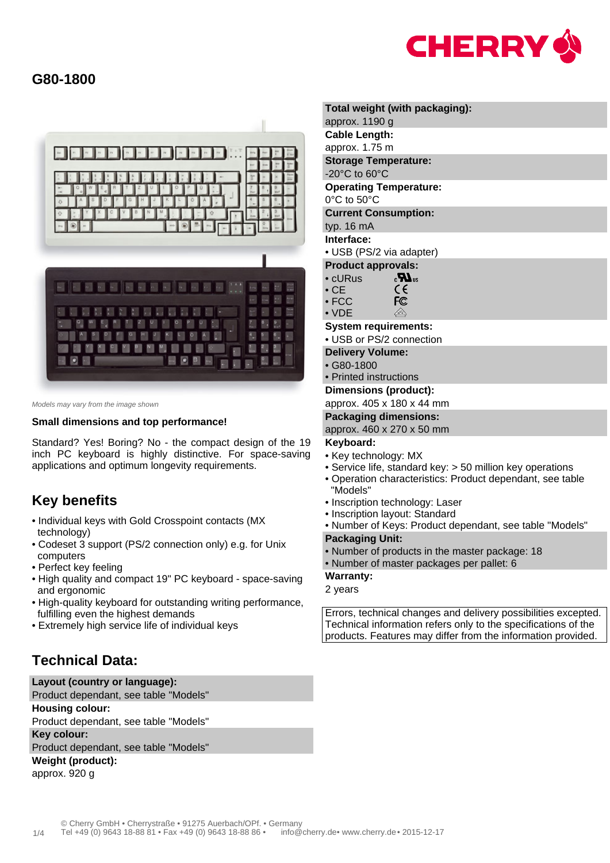



Models may vary from the image shown

#### **Small dimensions and top performance!**

Standard? Yes! Boring? No - the compact design of the 19 inch PC keyboard is highly distinctive. For space-saving applications and optimum longevity requirements.

# **Key benefits**

- Individual keys with Gold Crosspoint contacts (MX technology)
- Codeset 3 support (PS/2 connection only) e.g. for Unix computers
- Perfect key feeling
- High quality and compact 19" PC keyboard space-saving and ergonomic
- High-quality keyboard for outstanding writing performance, fulfilling even the highest demands
- Extremely high service life of individual keys

# **Technical Data:**

**Layout (country or language):** Product dependant, see table "Models" **Housing colour:** Product dependant, see table "Models" **Key colour:** Product dependant, see table "Models" **Weight (product):** approx. 920 g

## **Total weight (with packaging):** approx. 1190 g **Cable Length:** approx. 1.75 m **Storage Temperature:** -20°C to 60°C **Operating Temperature:** 0°C to 50°C **Current Consumption:** typ. 16 mA **Interface:**

- USB (PS/2 via adapter)
- **Product approvals:**
- cURus  $\epsilon$ **IM**<sub>15</sub> • CE CE
- FCC FC • VDE  $\bigcirc$

### **System requirements:**

- USB or PS/2 connection
- **Delivery Volume:**
- G80-1800
- Printed instructions

#### **Dimensions (product):**

approx. 405 x 180 x 44 mm

#### **Packaging dimensions:**

approx. 460 x 270 x 50 mm

### **Keyboard:**

- Key technology: MX
- Service life, standard key: > 50 million key operations
- Operation characteristics: Product dependant, see table "Models"
- Inscription technology: Laser
- Inscription layout: Standard
- Number of Keys: Product dependant, see table "Models"
- **Packaging Unit:**
- Number of products in the master package: 18
- Number of master packages per pallet: 6

### **Warranty:**

2 years

Errors, technical changes and delivery possibilities excepted. Technical information refers only to the specifications of the products. Features may differ from the information provided.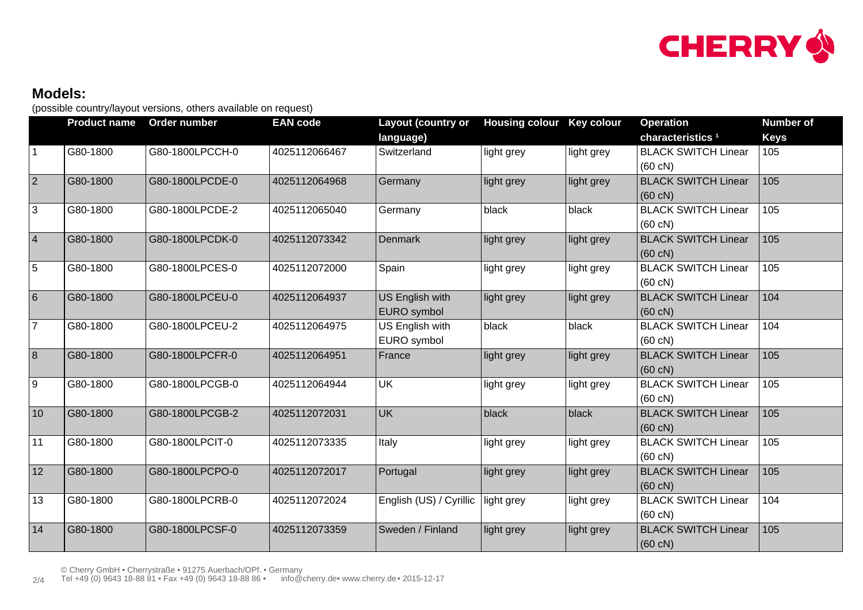

# **Models:**

(possible country/layout versions, others available on request)

|                 | <b>Product name</b> | Order number    | <b>EAN code</b> | Layout (country or      | <b>Housing colour</b> | <b>Key colour</b> | <b>Operation</b>             | <b>Number of</b> |
|-----------------|---------------------|-----------------|-----------------|-------------------------|-----------------------|-------------------|------------------------------|------------------|
|                 |                     |                 |                 | language)               |                       |                   | characteristics <sup>1</sup> | <b>Keys</b>      |
|                 | G80-1800            | G80-1800LPCCH-0 | 4025112066467   | Switzerland             | light grey            | light grey        | <b>BLACK SWITCH Linear</b>   | 105              |
|                 |                     |                 |                 |                         |                       |                   | $(60 \text{ cN})$            |                  |
| 2               | G80-1800            | G80-1800LPCDE-0 | 4025112064968   | Germany                 | light grey            | light grey        | <b>BLACK SWITCH Linear</b>   | 105              |
|                 |                     |                 |                 |                         |                       |                   | $(60 \text{ cN})$            |                  |
| 3               | G80-1800            | G80-1800LPCDE-2 | 4025112065040   | Germany                 | black                 | black             | <b>BLACK SWITCH Linear</b>   | 105              |
|                 |                     |                 |                 |                         |                       |                   | $(60 \text{ cN})$            |                  |
| $\vert 4$       | G80-1800            | G80-1800LPCDK-0 | 4025112073342   | <b>Denmark</b>          | light grey            | light grey        | <b>BLACK SWITCH Linear</b>   | 105              |
|                 |                     |                 |                 |                         |                       |                   | $(60 \text{ cN})$            |                  |
| 5               | G80-1800            | G80-1800LPCES-0 | 4025112072000   | Spain                   | light grey            | light grey        | <b>BLACK SWITCH Linear</b>   | 105              |
|                 |                     |                 |                 |                         |                       |                   | $(60 \text{ cN})$            |                  |
| $6\overline{6}$ | G80-1800            | G80-1800LPCEU-0 | 4025112064937   | <b>US English with</b>  | light grey            | light grey        | <b>BLACK SWITCH Linear</b>   | 104              |
|                 |                     |                 |                 | EURO symbol             |                       |                   | $(60 \text{ cN})$            |                  |
| $\overline{7}$  | G80-1800            | G80-1800LPCEU-2 | 4025112064975   | US English with         | black                 | black             | <b>BLACK SWITCH Linear</b>   | 104              |
|                 |                     |                 |                 | EURO symbol             |                       |                   | $(60 \text{ cN})$            |                  |
| $\overline{8}$  | G80-1800            | G80-1800LPCFR-0 | 4025112064951   | France                  | light grey            | light grey        | <b>BLACK SWITCH Linear</b>   | 105              |
|                 |                     |                 |                 |                         |                       |                   | $(60 \text{ cN})$            |                  |
| 9               | G80-1800            | G80-1800LPCGB-0 | 4025112064944   | <b>UK</b>               | light grey            | light grey        | <b>BLACK SWITCH Linear</b>   | 105              |
|                 |                     |                 |                 |                         |                       |                   | $(60 \text{ cN})$            |                  |
| 10              | G80-1800            | G80-1800LPCGB-2 | 4025112072031   | UK                      | black                 | black             | <b>BLACK SWITCH Linear</b>   | 105              |
|                 |                     |                 |                 |                         |                       |                   | $(60 \text{ cN})$            |                  |
| 11              | G80-1800            | G80-1800LPCIT-0 | 4025112073335   | Italy                   | light grey            | light grey        | <b>BLACK SWITCH Linear</b>   | 105              |
|                 |                     |                 |                 |                         |                       |                   | $(60 \text{ cN})$            |                  |
| 12              | G80-1800            | G80-1800LPCPO-0 | 4025112072017   | Portugal                | light grey            | light grey        | <b>BLACK SWITCH Linear</b>   | 105              |
|                 |                     |                 |                 |                         |                       |                   | $(60 \text{ cN})$            |                  |
| 13              | G80-1800            | G80-1800LPCRB-0 | 4025112072024   | English (US) / Cyrillic | light grey            | light grey        | <b>BLACK SWITCH Linear</b>   | 104              |
|                 |                     |                 |                 |                         |                       |                   | $(60 \text{ cN})$            |                  |
| 14              | G80-1800            | G80-1800LPCSF-0 | 4025112073359   | Sweden / Finland        | light grey            | light grey        | <b>BLACK SWITCH Linear</b>   | 105              |
|                 |                     |                 |                 |                         |                       |                   | $(60 \text{ cN})$            |                  |

© Cherry GmbH • Cherrystraße • 91275 Auerbach/OPf. • Germany

2/4 Tel +49 (0) 9643 18-88 81 • Fax +49 (0) 9643 18-88 86 • [info@cherry.de](mailto:info@cherry.de) [• www.cherry.de](http://www.cherry.de) • 2015-12-17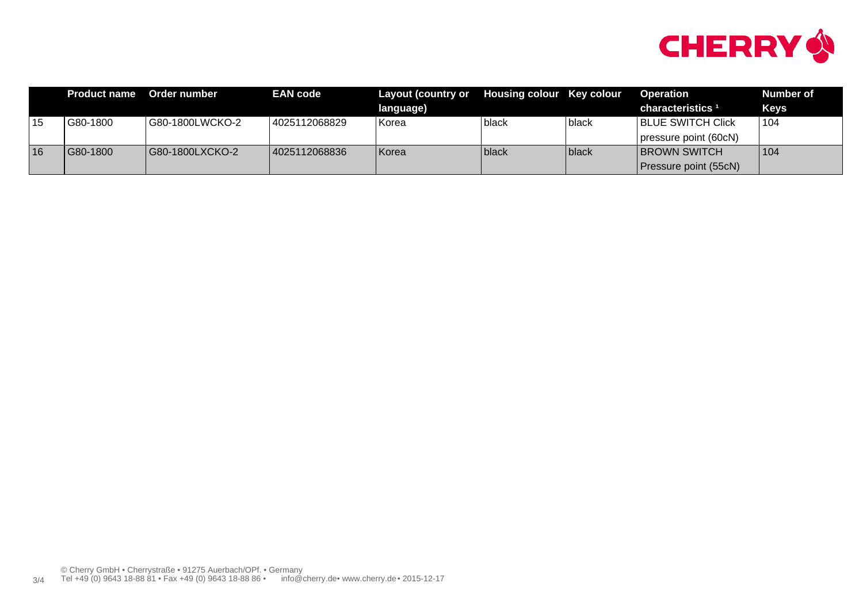

|    | <b>Product name</b> | Order number    | <b>EAN code</b> | Layout (country or Housing colour Key colour |       |              | <b>Operation</b>             | Number of   |
|----|---------------------|-----------------|-----------------|----------------------------------------------|-------|--------------|------------------------------|-------------|
|    |                     |                 |                 | language)                                    |       |              | characteristics <sup>1</sup> | <b>Keys</b> |
| 15 | G80-1800            | G80-1800LWCKO-2 | 4025112068829   | Korea                                        | black | l black      | <b>BLUE SWITCH Click</b>     | 104         |
|    |                     |                 |                 |                                              |       |              | pressure point (60cN)        |             |
| 16 | G80-1800            | G80-1800LXCKO-2 | 4025112068836   | Korea                                        | black | <b>black</b> | <b>BROWN SWITCH</b>          | 104         |
|    |                     |                 |                 |                                              |       |              | Pressure point (55cN)        |             |